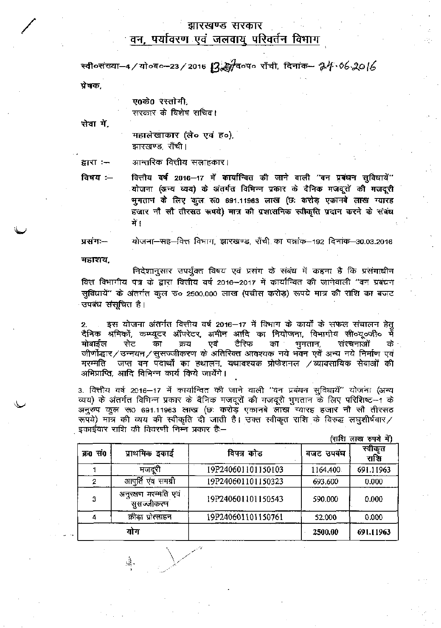## झारखण्ड सरकार

## <u>वन, पर्यावरण एवं जलवायु परिवर्तन विभाग</u>

स्वी०संख्या-4/यो०ब०-23/2016  $B$ ुट्योब०प० राँची, दिनांक- २४४.०४6 २०।6 प्रेषक,

ए0के0 रस्तोगी. सरकार के विशेष सचिव।

सेवा में.

महालेखाकार (ले० एवं ह०), झारखण्ड, राँची।

आन्तरिक वित्तीय सलाहकार। द्वारा :--

विषय $-$ वित्तीय वर्ष 2016–17 में कार्यान्दित की जाने वाली "वन प्रबंधन सुविधायें" योजना (अन्य व्यय) के अंतर्गत विभिन्न प्रकार के दैनिक मजदूरों की मजदूरी **^0 691.11963 (Si** oTFST हजार नौ सौ तीरस**ठ रूपये) मात्र की प्रशासनिक स्वीकृति प्रदान** करने के संबंध में [

प्रसंग:--योजना—सह—वित्त विभाग, झारखण्ड, राँची का पत्रांक—192 दिनांक—30.03.2016

महाशय.

Ŵ,

वं प्रसंग के संबंध में कहना <del>है</del> कि पत्र के द्वारा वित्तीय वर्ष 2016–2017 में कार्यान्वित की जानेवाली "वन 2500.000 लाख (पंचीस करोड़) रूपये मात्र की उपबंध संसूचित है।

अं<mark>तर्गत वित्तीय वर्ष 2016—17 में</mark> विभाग 2. मोबाईल सेट का क्रय एवं टैरिफ का भुगतान, संरचनाओं के नि<mark>र्मा</mark>ण मरम्मति ाजप्त वन पदार्थों का हथालन, यथावश्यक प्रोफेशनल ⁄व्यावसायिक सेवाओं की अभिप्राप्ति, आदि विभिन्न कार्य किये जायेंगे।

3. वित्तीय वर्ष 2016—17 में कार्यान्वित की जाने वाली "वन प्रबंधन सुविधायें" योजना (अन्य i की मजदूरी भुगतान के लिए परिशिष्ट—1 अनुरुप कुल रू0 691.11963 लाख (छ: करोड़ एकानबे लाख स्यारह हजार नौ सौ तीरसठ रूपये) मात्र की व्यय की स्वीकृति दी जाती है। उक्त स्वीकृत राशि के विरुद्ध लघुशीर्षवार ⁄<br>इकाईवार राशि की विवरणी निम्न प्रकार है:—

|          |                                    |                    |           | (सारा लाख १५४ म) |
|----------|------------------------------------|--------------------|-----------|------------------|
| क्र0 सं0 | प्राथमिक इकाई                      | विपत्र कोड         | बजट उपबंध | स्वीकृत<br>राशि  |
|          | मजदूरी                             | 19P240601101150103 | 1164,400  | 691.11963        |
|          | आपूर्ति एवं समग्री                 | 19P240601101150323 | 693.600   | 0.000            |
| 3        | अनुरक्षण मरम्मति एवं<br>सुसज्जीकरण | 19P240601101150543 | 590.000   | 0.000            |
| 4        | क्रीडा प्रोत्साहन                  | 19P240601101150761 | 52.000    | 0.000            |
|          | योग                                |                    | 2500.00   | 691.11963        |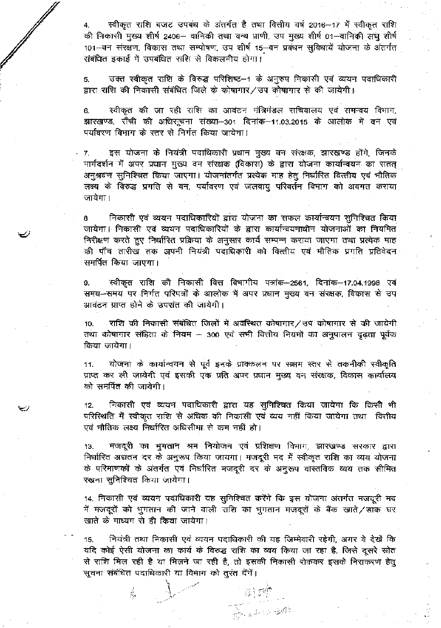4. तथा वित्तीय वर्ष 2016—17 2406— वानिकी तथा वन्य प्राणी, उप <u>मु</u>ख्य शीर्ष 01—व 101-वन संरक्षण, विकास तथा सम्पोषण, उप शीर्ष 15-वन प्रबंधन सुविधायें योजना के अंतर्गत संबंधित इकाई में उपबंधित राशि से विकलनीय होगा।

 $\mathbb{Z}^d$ 

उक्त स्वीकृत राशि के विरुद्ध परिशिष्ट—1 के अनुरुप निकासी एवं व्ययन पदाधिकारी 5. द्वारा राशि की निकासी संबंधित जिले के कोषागार/ उप कोषागार से की जायेगी।

स्वीकृत की जा रही राशि का आवंटन मंत्रिमंडल सचिवालय एवं समन्वय विभाग, 6. झारखण्ड, राँची की अधिसूचना संख्या–301 दिनांक–11.03.2015 के आलोक में वन एवं पर्यावरण विभाग के स्तर से निर्गत किया जायेगा।

इस योजना के नियंत्री पदाधिकारी प्रधान मुख्य वन संरक्षक, झारखण्ड होंगे, जिनके 7. मार्गदर्शन में अपर प्रधान मुख्य वन संरक्षक (विकास) के द्वारा योजना कार्यान्वयन का सतत् अनुश्रवण सुनिश्चित किया जाएगा। योजनांतर्गत प्रत्येक माह हेतु निर्घारित वित्तीय एवं भौतिक प्रगति से वन, पर्यावरण एवं जलवायु परिवर्तन विभाग को अवगत जायेगा।

निकासी एवं व्ययन पदाधिकारियों द्वारा योजना का सफल कार्यान्वयन सुनिश्चित किया जायेगा। निकासी एवं व्ययन पदाधिकारियों के द्वारा कार्यान्वयनाधीन योजनाओं का नियमित निरीक्षण करते हुए निर्धारित प्रक्रिया के अनुसार कार्य सम्पन्न कराया जाएगा तथा प्रत्येक माह की पाँच तारीख तक अपनी नियंत्री पदाधिकारी को वित्तीय एवं भौतिक प्रगति प्रतिवेदन समर्पित किया जाएगा।

स्वीकृत राशि की निकासी वित्त विभागीय पत्रांक—2561, दिनांक—17.04.1998 एवं 9. समय-समय पर निर्गत परिपत्रों के आलोक में अपर प्रधान मुख्य वन संरक्षक, विकास से उप आवंटन प्राप्त होने के उपरांत की जायेगी।

10. **किया जायेगा।** तथा कोषागार संहिता के नियम – 300 एवं सभी वित्तीय नियमों का अनुपालन दृढ़ता पूर्वक राशि की निकासी संबंधित जिलों में अवस्थित कोषागार / उप कोषागार से की जायेगी

11. योजना के कार्यान्वयन से पूर्व इनके प्र<del>ाक्</del>कलन पर सक्षम स्तर से तकनीकी स्वीकृति प्राप्त कर ली जायेगी एवं इसकी एक प्रति अपर प्रधान मुख्य वन संरक्षक, विकास कार्यालय को समर्पित की जायेगी।

निकासी एवं व्ययन पदाधिकारी द्वारा यह सुनिश्चित किया जायेगा कि किसी भी 12. परिस्थिति में स्वीकृत राशि से अधिक की निकासी एवं व्यय नहीं किया जायेगा तथा वित्तीय एवं भौतिक लक्ष्य निर्धारित अधिसीमा से कम नहीं हो।

**मजदूरी का भुगतान श्रम नियोजन एवं प्रशिक्षण** विभाग, झारखण्ड सरकार द्वारा **13.** निर्धारित अद्यतन दर के अनुरूप किया जायगा। मजदूरी मद में स्वीकृत राशि का व्यय योजना के परिमाणकों के अंतर्गत एवं निर्धारित मजदूरी दर के अनुरूप वास्तविक व्यय तक सीमित रखना सूनिश्चित किया जायेगा।

14. निकासी एवं व्ययन पदाधिकारी यह सुनिश्चित करेंगे कि इस योजना अंतर्गत मजदूरी मद में मजदूरों को भुगतान की जाने वाली राशि का भुगतान मजदूरों के बैंक खाते/डाक घर खाते के माध्यम से ही किया जायेगा।

15. नियंत्री तथा निकासी एवं व्ययन पदाधिकारी की यह जिम्मेवारी रहेगी, अगर वे देखें कि .<br>मिल रही है या मिलने जा रही है, तो इसकी निकासी रोककर इसके निराकरण सूचना संबंधित पदाधिकारी या विभाग को तूरंत देंगें। यदि कोई ऐसी योजना का कार्य के विरुद्ध राशि का व्यय किया जा रहा है, जिसे दूसरे स्रोत

Â,

 $-\frac{13}{5}$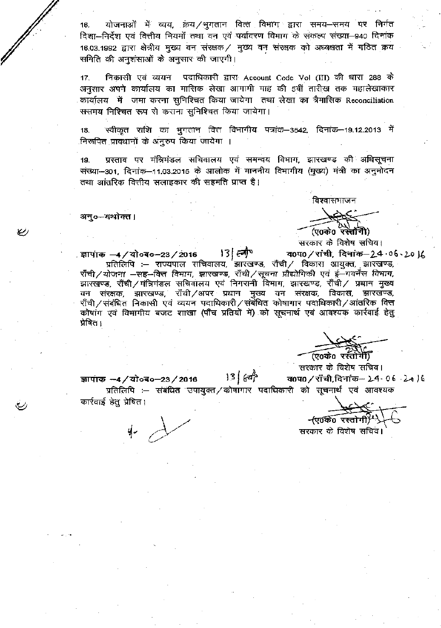16. - योजनाओं में व्यय, क्रयं/भुगतान वित्तं विभाग द्वारा नियमों तथा वन एवं पर्यावरण विभाग के संकल्प संख्या—940 .<br>16.03.1992 द्वारा क्षेत्रीय मुख्य वन संरक्षक / मुख्य वन समिति की अनुशंसाओं के अनुसार की जाएगी।

निकासी एवं व्ययन पदाधिकारी द्वारा Account Code Vol (III) की धारा 288 के 17. अनुसार अपने कार्यालय का मासिक लेखा आगामी माह की 5वीं तारीख तक महालेखाकार जमा करना सुनिश्चित किया जायेगा तथा लेखा का त्रैमासिक Reconciliation ससमय निश्चित रूप से कराना सुनिश्चित किया जायेगा।

18. स्वीकृत राशि का भुगतान वित्त विभागीय पत्रांक—3542, दिनांक—19.12.2013 में निरूपित प्रावधानों के अनुरुप किया जायेगा ।

प्रस्ताव पर मंत्रिमंडल सचिवालय एवं समन्वय विभाग, झारखण्ड की अधिसूचना 19. - 301, दिनांक–11.03.2015 के आलोक में माननीय विभागीय (मुख्य) सलाहकार की सहमति प्राप्त है।

अनु०—यथोक्त।

विश्वासभाजन

(ए0के0ॅरस्तॉर्गी) सरकार के विशेष सचिव।

 $13$   $\approx$ . ज्ञापाक —4 / यो०ब०—23 / 2016 व0प0/रांची, दिनांक-24.06.20 ) प्रतिलिपि :– राज्यपाल सचिवालय, झारखण्ड, राँची/ विकास आयुक्त, झारखण्ड, राँची/योजना –सह–वित्त विमाग, झारखण्ड, राँची/सूचना प्रौद्योगिकी एवं ई–गवर्नेंस विभाग, झारखण्ड, राँची/मंत्रिमंडल सचिवालय एवं निगरानी विभाग, झारखण्ड, राँची/ प्रधान मुख्य वन संरक्षक, झारखण्ड, राँची/अपर प्रधान मुख्य वन संरक्षक, विका**स,** झारखण्ड, राँची/संबंधित निकासी एवं व्ययन पदाधिकारी/संबंधित कोषागार पदाधिकारी/आंतरिक वि<del>त्</del>त कोषांग एवं विभागीय बजट शाखा (पौंच प्रतियों में) को सूचनार्थ एवं आवश्यक कार्रवाई हेतु प्रेषित ।

(ए0के0 रस्तोगी)

सरकार के विशेष सचिव।

 $13(67)$ व0प0/राँची, दिनांक- 24.06.2016 ज्ञापांक -4/यो०ब०-23/2016 प्रतिलिपि :- संबंधित उपायुक्त / कोषागार पदाधिकारी को सूचनार्थ एवं आवश्यक कार्रवाई हेतु प्रेषित।

-(ए०के० रस्तोगी)

सरकार के विशेष सचिव।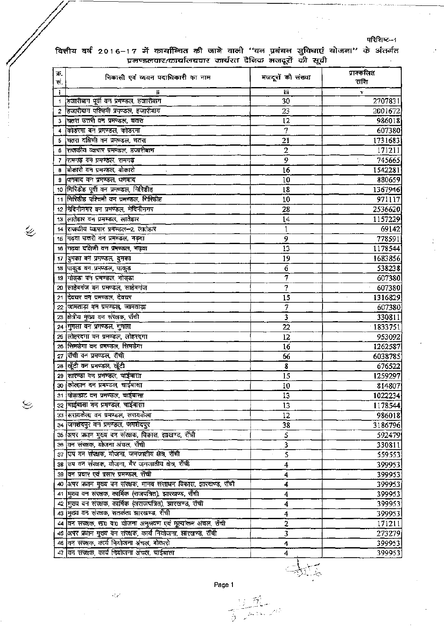.<br>परिशिष्ट--1

Ì,

k.

|  | वित्तीय वर्ष 2016–17 में कार्यान्वित की जाने वाली ''वन प्रबंधन सुविधाएं योजना'' के अंतर्गत |                                                       |  |  |  |  |  |
|--|--------------------------------------------------------------------------------------------|-------------------------------------------------------|--|--|--|--|--|
|  |                                                                                            | प्रमण्डलवार/कार्यालयवार कार्यरत दैनिक मजदूरों की सूची |  |  |  |  |  |

| क्र.<br>सं. | निकासी एवं व्ययन पदाधिकारी का नाम                                 | मजदूरों की संख्या | प्राक्कलित<br>राशि |
|-------------|-------------------------------------------------------------------|-------------------|--------------------|
| j.          |                                                                   | Ħì                | v                  |
| 1           | हजारीबाग पूर्वी वन प्रमण्डल, हजारीबाग                             | 30                | 2707831            |
| 2           | हिजारीबाग पश्चिमी प्रमण्डल, हजारीबाग                              | 23                | 2001672            |
| 3           | चितरा उत्तरी वन प्रमण्डल, चतरा                                    | 12                | 986018             |
|             | कोडरमा वन प्रमण्डल, कोडरमा                                        | 7                 | 607380             |
| 5           | चितरा दक्षिणी वन प्रमण्डल, चतरा                                   | 21                | 1731683            |
| 6           | राजकीय व्यापार प्रमण्डल, हजारीबाग                                 | $\overline{2}$    | 171211             |
| 7           | शिमगढ़ वन प्रमण्डल, रामगढ़                                        | $\overline{9}$    | 745665             |
| 8           | बोकारो वन प्रमण्डल, बोकारो                                        | 16                | 1542281            |
| 9           | धिनबाद वन प्रमण्डल, धनबाद                                         | 10                | 880659             |
|             | 10 गिरिडीह पूर्वी वन प्रमण्डल, गिरिडीह                            | 18                | 1367946            |
|             | 11 गिरिडीह परिचमी वन प्रमण्डल, गिरिडीह                            | 10                | 971117             |
|             | 12 मिदिनीनगर वन प्रमण्डल, मेदिनीनगर                               | 28                | 2536620            |
|             | 13 लातेहार वन प्रमण्डल, लातेहार                                   | 14                | 1157229            |
|             | 14 राजकीय व्यापार प्रमण्डल-2, लातेहार                             | 1                 | 69142              |
|             | 15 गढ़वा उत्तरी वन प्रमण्डल, गढ़वा                                | 9                 | 778591             |
|             | 16 गढ़वा दक्षिणी वन प्रमण्डल, गढ़वा                               | 13                | 1178544            |
|             | 17 दिमका वन प्रमण्डल, दुमका                                       | 19                | 1683856            |
|             | 18 पाकुड बन प्रमण्डल, पाकुड़                                      | 6                 | 538238             |
|             | 19 गोड्डा वन प्रमण्डल, गोड्डा                                     | 7                 | 607380             |
|             | 20 साहेबगंज वन प्रमण्डल, साहेबगंज                                 | 7                 | 607380             |
| 21          | दिवघर वन प्रमण्डल, देवघर                                          | 15                | 1316829            |
|             | 22 जामताड़ा वन प्रमण्डल, जामताड़ा                                 | 7                 | 607380             |
| 23          | क्षित्रीय मुख्य वन संरक्षक, राँची                                 | 3                 | 330811             |
|             | 24 गुमला वन प्रमण्डल, गुमला                                       | 22                | 1833751            |
|             | 25 लोहरदगा वन प्रमण्डल, लोहरदगा                                   | 12                | 953092             |
|             | 26 सिमडेगा वन प्रमण्डल, सिमडेगा                                   | 16                | 1262587            |
|             | 27 सैंची वन प्रमण्डल, राँची                                       | 66                | 6038785            |
|             | 28  खूँटी वन प्रमण्डल, खूँटी                                      | ${\bf 8}$         | 676522             |
|             | 29 सारण्डा वन प्रमण्डल, चाईबासा                                   | 15                | 1259297            |
|             | 30 कोल्हान वन प्रमण्डल, चाईबासा                                   | 10                | 814807             |
|             | 31 पोड़ाहाट बन प्रमण्डल, चाईबासा                                  | 13                | 1022234            |
|             | 32 चाईबासा वन प्रमण्डल, चाईबासा                                   | 13                | 1178544            |
|             | 33 सिरायकेला वन प्रमण्डल, सरायकेला                                | 12                | 986018             |
|             | 34 जिमशेदपुर वन प्रमण्डल, जमशेदपुर                                | 38                | 3186796            |
|             | 35 अपर प्रधान मुख्य वन संरक्षक, विकास, झाखण्ड, राँची              | 5                 | 592479             |
|             | 36 वन संरक्षक, योजना अंचल, राँची                                  | 3                 | 330811             |
|             | 37 उप वन संरक्षक, योजना, जनजातीय क्षेत्र, राँची                   | S                 | 559553             |
|             | 38 उप वन संरक्षक, योजना, गैर जनजातीय क्षेत्र, राँची               |                   | 399953             |
|             | 39 वन प्रचार एवं प्रसार प्रमण्डल, राँची                           | 4                 |                    |
|             | 40 अपर प्रधान मुख्य वन संरक्षक, मानव संसाधन विकास, झारखण्ड, राँची | 4                 | 399953             |
|             | 41 मुख्य वन संरक्षक, कार्मिक (राजपत्रित), झारखण्ड, राँची          | 4                 | 399953             |
|             |                                                                   | 4                 | 399953             |
|             | 42 मुख्य वन संरक्षक, कार्मिक (अराजपत्रित), झारखण्ड, राँची         | 4                 | 399953             |
|             | 43 मुख्य वन संरक्षक, सतर्कता ज्ञारखण्ड, राँची                     | 4                 | 399953             |
|             | 44 वन सरक्षक, सा0 वा0 योजना अनुश्रवण एवं मूल्यांकन अंचल, राँची    | $\overline{2}$    | 171211             |
|             | 45 अपर प्रधान मुख्य वन संरक्षक, कार्य नियोजना, झारखण्ड, राँची     | 3                 | 273279             |
|             | 48 वन संख्यक, कार्य नियोजना अंचल, बोकारो                          | 4                 | 399953             |
|             | 47 वन संरक्षक, कार्य नियोजना अंचल, चाईबासा                        | 4                 | 3999531            |

 $\overline{\mathscr{C}}$ 

 $\mathfrak{S}$ 

Page 1

 $\frac{\partial \mathcal{L}}{\partial \mathcal{L}}$ 

ga B

 $\frac{1}{2\sqrt{2}}$ 

Â.